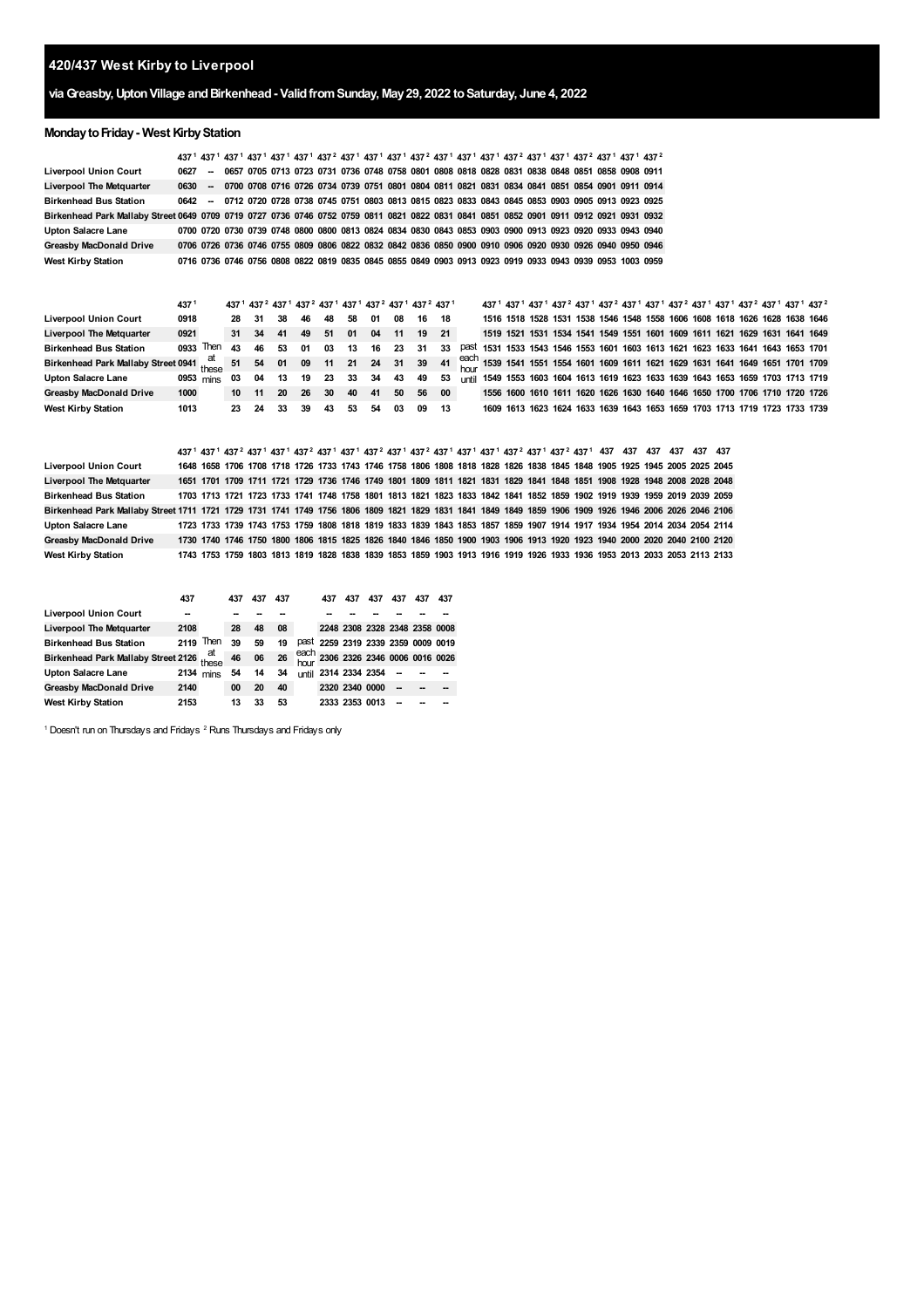# **420/437 West Kirby to Liverpool**

# **viaGreasby,UptonVillage andBirkenhead- ValidfromSunday, May29, 2022 toSaturday, June 4, 2022**

# **Monday to Friday - West Kirby Station**

|                                                                                                                                                        |      |                          |     |     | 437 <sup>1</sup> 437 <sup>1</sup> 437 <sup>1</sup> 437 <sup>1</sup> 437 <sup>1</sup> 437 <sup>1</sup> 437 <sup>1</sup> 437 <sup>1</sup> 437 <sup>1</sup> 437 <sup>2</sup> 437 <sup>1</sup> 437 <sup>1</sup> 437 <sup>1</sup> 437 <sup>1</sup> 437 <sup>1</sup> 437 <sup>1</sup> 437 <sup>1</sup> 437 <sup>1</sup> 437 <sup>1</sup> 437 <sup>1</sup> |              |     |     |                  |                               |     |                               |              |  |  |  |  |  |                                                                                                                                                                                                                                                                |  |  |
|--------------------------------------------------------------------------------------------------------------------------------------------------------|------|--------------------------|-----|-----|-----------------------------------------------------------------------------------------------------------------------------------------------------------------------------------------------------------------------------------------------------------------------------------------------------------------------------------------------------|--------------|-----|-----|------------------|-------------------------------|-----|-------------------------------|--------------|--|--|--|--|--|----------------------------------------------------------------------------------------------------------------------------------------------------------------------------------------------------------------------------------------------------------------|--|--|
| <b>Liverpool Union Court</b>                                                                                                                           | 0627 | $\sim$                   |     |     | 0657 0705 0713 0723 0731 0736 0748 0758 0801 0808 0818 0828 0831 0838 0848 0851 0858 0908 0911                                                                                                                                                                                                                                                      |              |     |     |                  |                               |     |                               |              |  |  |  |  |  |                                                                                                                                                                                                                                                                |  |  |
| Liverpool The Metquarter                                                                                                                               | 0630 | $\overline{\phantom{a}}$ |     |     | 0700 0708 0716 0726 0734 0739 0751 0801 0804 0811 0821 0831 0834 0841 0851 0854 0901 0911 0914                                                                                                                                                                                                                                                      |              |     |     |                  |                               |     |                               |              |  |  |  |  |  |                                                                                                                                                                                                                                                                |  |  |
| Birkenhead Bus Station                                                                                                                                 | 0642 | $\sim$                   |     |     | 0712 0720 0728 0738 0745 0751 0803 0813 0815 0823 0833 0843 0845 0853 0903 0905 0913 0923 0925                                                                                                                                                                                                                                                      |              |     |     |                  |                               |     |                               |              |  |  |  |  |  |                                                                                                                                                                                                                                                                |  |  |
| Birkenhead Park Mallaby Street 0649 0709 0719 0727 0736 0746 0752 0759 0811 0821 0822 0831 0841 0851 0852 0901 0911 0912 0921 0931 0932                |      |                          |     |     |                                                                                                                                                                                                                                                                                                                                                     |              |     |     |                  |                               |     |                               |              |  |  |  |  |  |                                                                                                                                                                                                                                                                |  |  |
| Upton Salacre Lane                                                                                                                                     |      |                          |     |     | 0700 0720 0730 0739 0748 0800 0800 0813 0824 0834 0830 0843 0853 0903 0900 0913 0923 0920 0933 0943 0940                                                                                                                                                                                                                                            |              |     |     |                  |                               |     |                               |              |  |  |  |  |  |                                                                                                                                                                                                                                                                |  |  |
| <b>Greasby MacDonald Drive</b>                                                                                                                         |      |                          |     |     | 0706 0726 0736 0746 0755 0809 0806 0822 0832 0842 0836 0850 0900 0910 0906 0920 0930 0926 0940 0950 0946                                                                                                                                                                                                                                            |              |     |     |                  |                               |     |                               |              |  |  |  |  |  |                                                                                                                                                                                                                                                                |  |  |
| <b>West Kirby Station</b>                                                                                                                              |      |                          |     |     | 0716 0736 0746 0756 0808 0822 0819 0835 0845 0855 0849 0903 0913 0923 0919 0933 0943 0939 0953 1003 0959                                                                                                                                                                                                                                            |              |     |     |                  |                               |     |                               |              |  |  |  |  |  |                                                                                                                                                                                                                                                                |  |  |
|                                                                                                                                                        |      |                          |     |     |                                                                                                                                                                                                                                                                                                                                                     |              |     |     |                  |                               |     |                               |              |  |  |  |  |  |                                                                                                                                                                                                                                                                |  |  |
|                                                                                                                                                        |      |                          |     |     |                                                                                                                                                                                                                                                                                                                                                     |              |     |     |                  |                               |     |                               |              |  |  |  |  |  |                                                                                                                                                                                                                                                                |  |  |
|                                                                                                                                                        | 4371 |                          |     |     | 437 <sup>1</sup> 437 <sup>2</sup> 437 <sup>1</sup> 437 <sup>2</sup> 437 <sup>1</sup> 437 <sup>1</sup> 437 <sup>2</sup> 437 <sup>1</sup> 437 <sup>2</sup> 437 <sup>1</sup>                                                                                                                                                                           |              |     |     |                  |                               |     |                               |              |  |  |  |  |  | 437 <sup>1</sup> 437 <sup>1</sup> 437 <sup>1</sup> 437 <sup>2</sup> 437 <sup>1</sup> 437 <sup>2</sup> 437 <sup>1</sup> 437 <sup>1</sup> 437 <sup>2</sup> 437 <sup>1</sup> 437 <sup>1</sup> 437 <sup>2</sup> 437 <sup>1</sup> 437 <sup>1</sup> 437 <sup>2</sup> |  |  |
| <b>Liverpool Union Court</b>                                                                                                                           | 0918 |                          | 28  | 31  | 38                                                                                                                                                                                                                                                                                                                                                  | 46           | 48  | 58  | 01               | 08                            | 16  | 18                            |              |  |  |  |  |  | 1516 1518 1528 1531 1538 1546 1548 1558 1606 1608 1618 1626 1628 1638 1646                                                                                                                                                                                     |  |  |
| Liverpool The Metquarter                                                                                                                               | 0921 |                          | 31  | 34  | 41                                                                                                                                                                                                                                                                                                                                                  | 49           | 51  | 01  | 04               | 11                            | 19  | 21                            |              |  |  |  |  |  | 1519 1521 1531 1534 1541 1549 1551 1601 1609 1611 1621 1629 1631 1641 1649                                                                                                                                                                                     |  |  |
| <b>Birkenhead Bus Station</b>                                                                                                                          |      | 0933 Then                | 43  | 46  | 53                                                                                                                                                                                                                                                                                                                                                  | 01           | 03  | 13  | 16               | 23                            | 31  | 33                            | past         |  |  |  |  |  | 1531 1533 1543 1546 1553 1601 1603 1613 1621 1623 1633 1641 1643 1653 1701                                                                                                                                                                                     |  |  |
| Birkenhead Park Mallaby Street 0941                                                                                                                    |      | at<br>these              | 51  | 54  | 01                                                                                                                                                                                                                                                                                                                                                  | 09           | 11  | 21  | 24               | 31                            | 39  | 41                            | each<br>hour |  |  |  |  |  | 1539 1541 1551 1554 1601 1609 1611 1621 1629 1631 1641 1649 1651 1701 1709                                                                                                                                                                                     |  |  |
| Upton Salacre Lane                                                                                                                                     |      | 0953 mins                | 03  | 04  | 13                                                                                                                                                                                                                                                                                                                                                  | 19           | 23  | 33  | 34               | 43                            | 49  | 53                            | until        |  |  |  |  |  | 1549 1553 1603 1604 1613 1619 1623 1633 1639 1643 1653 1659 1703 1713 1719                                                                                                                                                                                     |  |  |
| Greasby MacDonald Drive                                                                                                                                | 1000 |                          | 10  | 11  | 20                                                                                                                                                                                                                                                                                                                                                  | 26           | 30  | 40  | 41               | 50                            | 56  | 00                            |              |  |  |  |  |  | 1556 1600 1610 1611 1620 1626 1630 1640 1646 1650 1700 1706 1710 1720 1726                                                                                                                                                                                     |  |  |
| West Kirby Station                                                                                                                                     | 1013 |                          | 23  | 24  | 33                                                                                                                                                                                                                                                                                                                                                  | 39           | 43  | 53  | 54               | 03                            | 09  | 13                            |              |  |  |  |  |  | 1609 1613 1623 1624 1633 1639 1643 1653 1659 1703 1713 1719 1723 1733 1739                                                                                                                                                                                     |  |  |
|                                                                                                                                                        |      |                          |     |     |                                                                                                                                                                                                                                                                                                                                                     |              |     |     |                  |                               |     |                               |              |  |  |  |  |  |                                                                                                                                                                                                                                                                |  |  |
|                                                                                                                                                        |      |                          |     |     |                                                                                                                                                                                                                                                                                                                                                     |              |     |     |                  |                               |     |                               |              |  |  |  |  |  |                                                                                                                                                                                                                                                                |  |  |
|                                                                                                                                                        |      |                          |     |     | 437 1 437 1 437 2 437 1 437 1 437 2 437 1 437 1 437 2 437 1 437 2 437 1 437 1 437 2 437 1 437 2 437 1 437 437 437 437 437 437 437 437 448                                                                                                                                                                                                           |              |     |     |                  |                               |     |                               |              |  |  |  |  |  |                                                                                                                                                                                                                                                                |  |  |
| Liverpool Union Court                                                                                                                                  |      |                          |     |     | 1648 1658 1706 1708 1718 1726 1733 1743 1746 1758 1806 1808 1818 1828 1826 1838 1845 1848 1905 1925 1945 2005 2025 2045                                                                                                                                                                                                                             |              |     |     |                  |                               |     |                               |              |  |  |  |  |  |                                                                                                                                                                                                                                                                |  |  |
| Liverpool The Metquarter                                                                                                                               |      |                          |     |     | 1651 1701 1709 1711 1721 1729 1736 1746 1749 1801 1809 1811 1821 1831 1829 1841 1848 1851 1908 1928 1948 2008 2028 2048                                                                                                                                                                                                                             |              |     |     |                  |                               |     |                               |              |  |  |  |  |  |                                                                                                                                                                                                                                                                |  |  |
| <b>Birkenhead Bus Station</b>                                                                                                                          |      |                          |     |     | 1703 1713 1721 1723 1733 1741 1748 1758 1801 1813 1821 1823 1833 1842 1841 1852 1859 1902 1919 1939 1959 2019 2039 2059                                                                                                                                                                                                                             |              |     |     |                  |                               |     |                               |              |  |  |  |  |  |                                                                                                                                                                                                                                                                |  |  |
| Birkenhead Park Mallaby Street 1711 1721 1729 1731 1741 1749 1756 1806 1809 1821 1829 1831 1841 1849 1849 1859 1906 1909 1926 1946 2006 2026 2046 2106 |      |                          |     |     |                                                                                                                                                                                                                                                                                                                                                     |              |     |     |                  |                               |     |                               |              |  |  |  |  |  |                                                                                                                                                                                                                                                                |  |  |
| Upton Salacre Lane                                                                                                                                     |      |                          |     |     | 1723 1733 1739 1743 1753 1759 1808 1818 1819 1833 1839 1843 1853 1857 1859 1907 1914 1917 1934 1954 2014 2034 2054 2114                                                                                                                                                                                                                             |              |     |     |                  |                               |     |                               |              |  |  |  |  |  |                                                                                                                                                                                                                                                                |  |  |
| Greasby MacDonald Drive                                                                                                                                |      |                          |     |     | 1730 1740 1746 1750 1800 1806 1815 1825 1826 1840 1846 1850 1900 1903 1906 1913 1920 1923 1940 2000 2020 2040 2100 2120                                                                                                                                                                                                                             |              |     |     |                  |                               |     |                               |              |  |  |  |  |  |                                                                                                                                                                                                                                                                |  |  |
| West Kirby Station                                                                                                                                     |      |                          |     |     | 1743 1753 1759 1803 1813 1819 1828 1838 1839 1853 1859 1903 1913 1916 1919 1926 1933 1936 1953 2013 2033 2053 2113 2133                                                                                                                                                                                                                             |              |     |     |                  |                               |     |                               |              |  |  |  |  |  |                                                                                                                                                                                                                                                                |  |  |
|                                                                                                                                                        |      |                          |     |     |                                                                                                                                                                                                                                                                                                                                                     |              |     |     |                  |                               |     |                               |              |  |  |  |  |  |                                                                                                                                                                                                                                                                |  |  |
|                                                                                                                                                        |      |                          |     |     |                                                                                                                                                                                                                                                                                                                                                     |              |     |     |                  |                               |     |                               |              |  |  |  |  |  |                                                                                                                                                                                                                                                                |  |  |
|                                                                                                                                                        | 437  |                          | 437 | 437 | 437                                                                                                                                                                                                                                                                                                                                                 |              | 437 | 437 | 437              | 437                           | 437 | 437                           |              |  |  |  |  |  |                                                                                                                                                                                                                                                                |  |  |
| <b>Liverpool Union Court</b>                                                                                                                           | −−   |                          |     |     | --                                                                                                                                                                                                                                                                                                                                                  |              |     |     |                  |                               |     |                               |              |  |  |  |  |  |                                                                                                                                                                                                                                                                |  |  |
| <b>Liverpool The Metquarter</b>                                                                                                                        | 2108 |                          | 28  | 48  | 08                                                                                                                                                                                                                                                                                                                                                  |              |     |     |                  | 2248 2308 2328 2348 2358 0008 |     |                               |              |  |  |  |  |  |                                                                                                                                                                                                                                                                |  |  |
| Birkenhead Bus Station                                                                                                                                 |      | $2119$ Then              | 39  | 59  | 19                                                                                                                                                                                                                                                                                                                                                  | past         |     |     |                  | 2259 2319 2339 2359 0009 0019 |     |                               |              |  |  |  |  |  |                                                                                                                                                                                                                                                                |  |  |
| Birkenhead Park Mallaby Street 2126 these                                                                                                              |      |                          | 46  | 06  | 26                                                                                                                                                                                                                                                                                                                                                  | each<br>hour |     |     |                  |                               |     | 2306 2326 2346 0006 0016 0026 |              |  |  |  |  |  |                                                                                                                                                                                                                                                                |  |  |
| Upton Salacre Lane                                                                                                                                     |      | 2134 mins                | 54  | 14  | 34                                                                                                                                                                                                                                                                                                                                                  | until        |     |     | 2314 2334 2354 - |                               |     |                               |              |  |  |  |  |  |                                                                                                                                                                                                                                                                |  |  |

<span id="page-0-0"></span>Doesn't run on Thursdays and Fridays  $2$  Runs Thursdays and Fridays only

<span id="page-0-1"></span> **54 14 34 2314 00 20 40 2320 13 33 53 2333**

    **-- -- --** **-- -- --** **-- -- --**

**West Kirby Station**

**Greasby MacDonald Drive**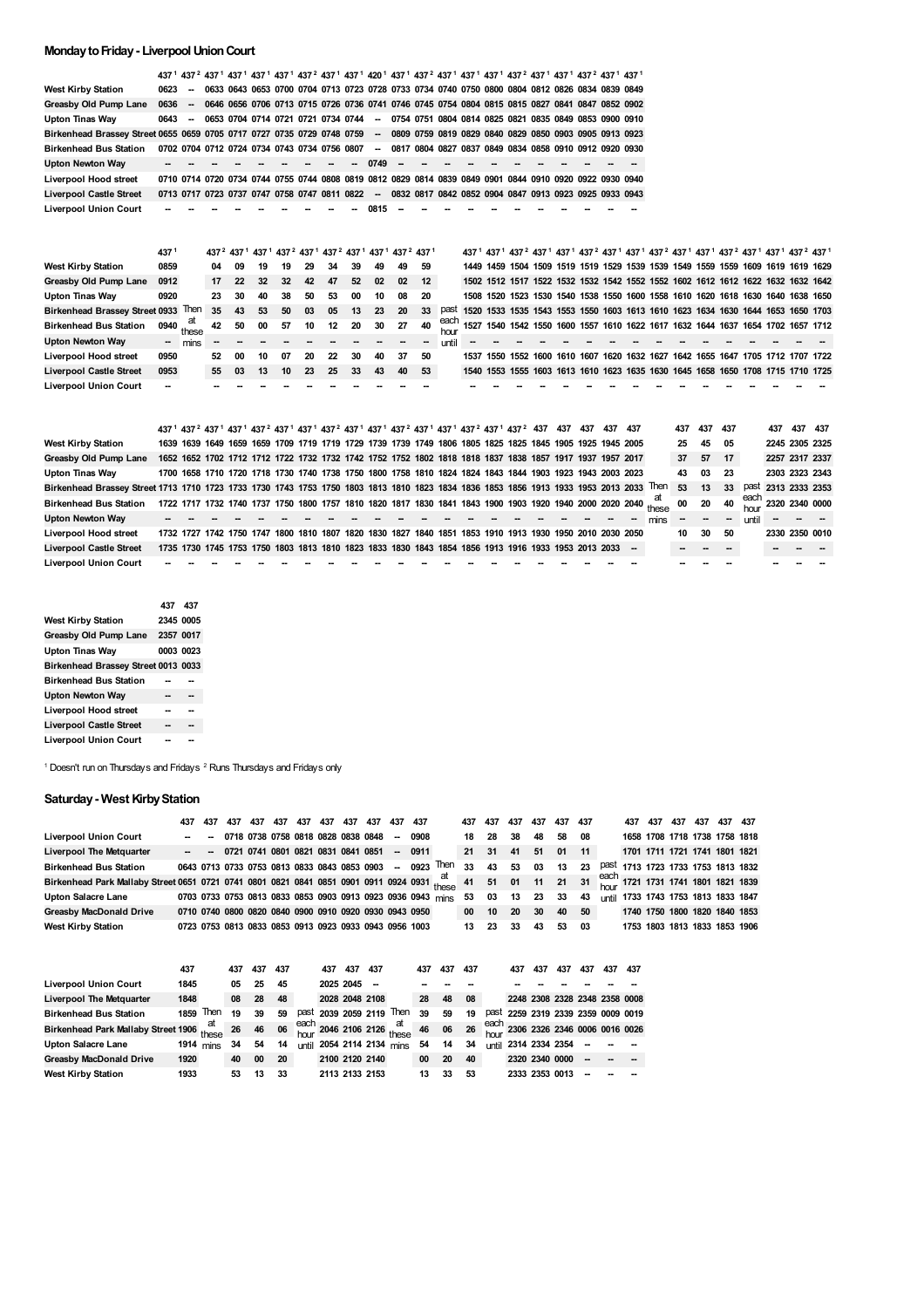## **MondaytoFriday- LiverpoolUnionCourt**

|                                                                        |        |                          |      |    |    |    |    |                                                                                                                        |    |        |      |                          |               |  |  |  | 437 <sup>1</sup> 437 <sup>2</sup> 437 <sup>1</sup> 437 <sup>1</sup> 437 <sup>1</sup> 437 <sup>1</sup> 437 <sup>2</sup> 437 <sup>1</sup> 437 <sup>1</sup> 420 <sup>1</sup> 437 <sup>1</sup> 437 <sup>2</sup> 437 <sup>1</sup> 437 <sup>1</sup> 437 <sup>1</sup> 437 <sup>2</sup> 437 <sup>1</sup> 437 <sup>2</sup> 437 <sup>1</sup> |  |  |  |  |  |
|------------------------------------------------------------------------|--------|--------------------------|------|----|----|----|----|------------------------------------------------------------------------------------------------------------------------|----|--------|------|--------------------------|---------------|--|--|--|------------------------------------------------------------------------------------------------------------------------------------------------------------------------------------------------------------------------------------------------------------------------------------------------------------------------------------|--|--|--|--|--|
| <b>West Kirby Station</b>                                              | 0623   |                          |      |    |    |    |    |                                                                                                                        |    |        |      |                          |               |  |  |  | 0633 0643 0653 0700 0704 0713 0723 0728 0733 0734 0740 0750 0800 0804 0812 0826 0834 0839 0849                                                                                                                                                                                                                                     |  |  |  |  |  |
| Greasby Old Pump Lane                                                  | 0636   | $\overline{\phantom{a}}$ |      |    |    |    |    |                                                                                                                        |    |        |      |                          |               |  |  |  | 0646 0656 0706 0713 0715 0726 0736 0741 0746 0745 0754 0804 0815 0815 0827 0841 0847 0852 0902                                                                                                                                                                                                                                     |  |  |  |  |  |
| <b>Upton Tinas Way</b>                                                 | 0643   |                          |      |    |    |    |    | 0653 0704 0714 0721 0721 0734 0744                                                                                     |    | -      |      |                          |               |  |  |  | 0754 0751 0804 0814 0825 0821 0835 0849 0853 0900 0910                                                                                                                                                                                                                                                                             |  |  |  |  |  |
| Birkenhead Brassey Street 0655 0659 0705 0717 0727 0735 0729 0748 0759 |        |                          |      |    |    |    |    |                                                                                                                        |    | $\sim$ |      |                          |               |  |  |  | 0809 0759 0819 0829 0840 0829 0850 0903 0905 0913 0923                                                                                                                                                                                                                                                                             |  |  |  |  |  |
| <b>Birkenhead Bus Station</b>                                          |        |                          |      |    |    |    |    | 0702 0704 0712 0724 0734 0743 0734 0756 0807                                                                           |    | $\sim$ |      |                          |               |  |  |  | 0817 0804 0827 0837 0849 0834 0858 0910 0912 0920 0930                                                                                                                                                                                                                                                                             |  |  |  |  |  |
| <b>Upton Newton Way</b>                                                |        |                          |      |    |    |    |    |                                                                                                                        |    | 0749   |      |                          |               |  |  |  |                                                                                                                                                                                                                                                                                                                                    |  |  |  |  |  |
| Liverpool Hood street                                                  |        |                          |      |    |    |    |    |                                                                                                                        |    |        |      |                          |               |  |  |  | 0710 0714 0720 0734 0744 0755 0744 0808 0819 0812 0829 0814 0839 0849 0901 0844 0910 0920 0922 0930 0940                                                                                                                                                                                                                           |  |  |  |  |  |
| <b>Liverpool Castle Street</b>                                         |        |                          |      |    |    |    |    | 0713 0717 0723 0737 0747 0758 0747 0811 0822                                                                           |    | $\sim$ |      |                          |               |  |  |  | 0832 0817 0842 0852 0904 0847 0913 0923 0925 0933 0943                                                                                                                                                                                                                                                                             |  |  |  |  |  |
| <b>Liverpool Union Court</b>                                           |        |                          |      |    |    |    |    |                                                                                                                        |    | 0815   |      |                          |               |  |  |  |                                                                                                                                                                                                                                                                                                                                    |  |  |  |  |  |
|                                                                        |        |                          |      |    |    |    |    |                                                                                                                        |    |        |      |                          |               |  |  |  |                                                                                                                                                                                                                                                                                                                                    |  |  |  |  |  |
|                                                                        |        |                          |      |    |    |    |    |                                                                                                                        |    |        |      |                          |               |  |  |  |                                                                                                                                                                                                                                                                                                                                    |  |  |  |  |  |
|                                                                        |        |                          |      |    |    |    |    |                                                                                                                        |    |        |      |                          |               |  |  |  |                                                                                                                                                                                                                                                                                                                                    |  |  |  |  |  |
|                                                                        | 4371   |                          | 4372 |    |    |    |    | 437 <sup>1</sup> 437 <sup>1</sup> 437 <sup>2</sup> 437 <sup>1</sup> 437 <sup>2</sup> 437 <sup>1</sup> 437 <sup>1</sup> |    |        | 4372 | 4371                     |               |  |  |  | 437 <sup>1</sup> 437 <sup>1</sup> 437 <sup>2</sup> 437 <sup>1</sup> 437 <sup>1</sup> 437 <sup>2</sup> 437 <sup>1</sup> 437 <sup>1</sup> 437 <sup>2</sup> 437 <sup>1</sup> 437 <sup>1</sup> 437 <sup>2</sup> 437 <sup>1</sup> 437 <sup>1</sup> 437 <sup>2</sup> 437 <sup>1</sup>                                                    |  |  |  |  |  |
| <b>West Kirby Station</b>                                              | 0859   |                          | 04   | 09 | 19 | 19 | 29 | 34                                                                                                                     | 39 | 49     | 49   | 59                       |               |  |  |  | 1449 1459 1504 1509 1519 1519 1529 1539 1539 1549 1559 1559 1609 1619 1619 1629                                                                                                                                                                                                                                                    |  |  |  |  |  |
| Greasby Old Pump Lane                                                  | 0912   |                          | 17   | 22 | 32 | 32 | 42 | 47                                                                                                                     | 52 | 02     | 02   | 12                       |               |  |  |  | 1502 1512 1517 1522 1532 1532 1542 1552 1552 1602 1612 1612 1622 1632 1632 1642                                                                                                                                                                                                                                                    |  |  |  |  |  |
| <b>Upton Tinas Way</b>                                                 | 0920   |                          | 23   | 30 | 40 | 38 | 50 | 53                                                                                                                     | 00 | 10     | 08   | 20                       |               |  |  |  | 1508 1520 1523 1530 1540 1538 1550 1600 1558 1610 1620 1618 1630 1640 1638 1650                                                                                                                                                                                                                                                    |  |  |  |  |  |
| <b>Birkenhead Brassey Street 0933</b>                                  |        | Then                     | 35   | 43 | 53 | 50 | 03 | 05                                                                                                                     | 13 | 23     | 20   | 33                       | past          |  |  |  | 1520 1533 1535 1543 1553 1550 1603 1613 1610 1623 1634 1630 1644 1653 1650 1703                                                                                                                                                                                                                                                    |  |  |  |  |  |
| <b>Birkenhead Bus Station</b>                                          | 0940   | at                       | 42   | 50 | 00 | 57 | 10 | 12                                                                                                                     | 20 | 30     | 27   | 40                       | each          |  |  |  | 1527 1540 1542 1550 1600 1557 1610 1622 1617 1632 1644 1637 1654 1702 1657 1712                                                                                                                                                                                                                                                    |  |  |  |  |  |
| <b>Upton Newton Way</b>                                                | $\sim$ | these<br>mins            |      |    |    |    |    |                                                                                                                        |    |        |      | $\overline{\phantom{a}}$ | hour<br>until |  |  |  |                                                                                                                                                                                                                                                                                                                                    |  |  |  |  |  |
| Liverpool Hood street                                                  | 0950   |                          | 52   | 00 | 10 | 07 | 20 | 22                                                                                                                     | 30 | 40     | 37   | 50                       |               |  |  |  | 1537 1550 1552 1600 1610 1607 1620 1632 1627 1642 1655 1647 1705 1712 1707 1722                                                                                                                                                                                                                                                    |  |  |  |  |  |
| <b>Liverpool Castle Street</b>                                         | 0953   |                          | 55   | 03 | 13 | 10 | 23 | 25                                                                                                                     | 33 | 43     | 40   | 53                       |               |  |  |  | 1540 1553 1555 1603 1613 1610 1623 1635 1630 1645 1658 1650 1708 1715 1710 1725                                                                                                                                                                                                                                                    |  |  |  |  |  |
| <b>Liverpool Union Court</b>                                           |        |                          |      |    |    |    |    |                                                                                                                        |    |        |      |                          |               |  |  |  |                                                                                                                                                                                                                                                                                                                                    |  |  |  |  |  |
|                                                                        |        |                          |      |    |    |    |    |                                                                                                                        |    |        |      |                          |               |  |  |  |                                                                                                                                                                                                                                                                                                                                    |  |  |  |  |  |

|                                                                                                                                         |  |  |  |  |  | 437 <sup>1</sup> 437 <sup>2</sup> 437 <sup>1</sup> 437 <sup>1</sup> 437 <sup>2</sup> 437 <sup>1</sup> 437 <sup>1</sup> 437 <sup>2</sup> 437 <sup>1</sup> 437 <sup>2</sup> 437 <sup>1</sup> 437 <sup>2</sup> 437 <sup>1</sup> 437 <sup>2</sup> 437 <sup>1</sup> 437 <sup>2</sup> 437 437 437 437 437 437 |  |  |  |  |                                                                                                                | 437 | 437 437 |        |                     | 437 | 437 437             |  |
|-----------------------------------------------------------------------------------------------------------------------------------------|--|--|--|--|--|---------------------------------------------------------------------------------------------------------------------------------------------------------------------------------------------------------------------------------------------------------------------------------------------------------|--|--|--|--|----------------------------------------------------------------------------------------------------------------|-----|---------|--------|---------------------|-----|---------------------|--|
| <b>West Kirby Station</b>                                                                                                               |  |  |  |  |  | 1639 1639 1649 1659 1659 1709 1719 1719 1729 1739 1739 1749 1806 1805 1825 1825 1845 1905 1925 1945 2005                                                                                                                                                                                                |  |  |  |  |                                                                                                                | 25  | 45      | 05     |                     |     | 2245 2305 2325      |  |
| Greasby Old Pump Lane                                                                                                                   |  |  |  |  |  | 1652 1652 1702 1712 1712 1722 1732 1732 1742 1752 1752 1802 1818 1818 1837 1838 1857 1917 1937 1957 2017                                                                                                                                                                                                |  |  |  |  |                                                                                                                | 37  | 57      | 17     |                     |     | 2257 2317 2337      |  |
| <b>Upton Tinas Way</b>                                                                                                                  |  |  |  |  |  | 1700 1658 1710 1720 1718 1730 1740 1738 1750 1800 1758 1810 1824 1824 1843 1844 1903 1923 1943 2003 2023                                                                                                                                                                                                |  |  |  |  |                                                                                                                | 43  | 03      | 23     |                     |     | 2303 2323 2343      |  |
| Birkenhead Brassey Street 1713 1710 1723 1733 1730 1743 1753 1750 1803 1813 1810 1823 1834 1836 1853 1856 1913 1933 1953 2013 2033 Then |  |  |  |  |  |                                                                                                                                                                                                                                                                                                         |  |  |  |  |                                                                                                                | 53  | 13      | 33     |                     |     | past 2313 2333 2353 |  |
| <b>Birkenhead Bus Station</b>                                                                                                           |  |  |  |  |  |                                                                                                                                                                                                                                                                                                         |  |  |  |  | 1722 1717 1732 1740 1737 1750 1800 1757 1810 1820 1817 1830 1841 1843 1900 1903 1920 1940 2000 2020 2040 these | 00  | 20      | 40     | each 2320 2340 0000 |     |                     |  |
| <b>Upton Newton Way</b>                                                                                                                 |  |  |  |  |  |                                                                                                                                                                                                                                                                                                         |  |  |  |  | mins                                                                                                           |     |         | $\sim$ | until               |     |                     |  |
| Liverpool Hood street                                                                                                                   |  |  |  |  |  | 1732 1727 1742 1750 1747 1800 1810 1807 1820 1830 1827 1840 1851 1853 1910 1913 1930 1950 2010 2030 2050                                                                                                                                                                                                |  |  |  |  |                                                                                                                | 10  | 30      | 50     |                     |     | 2330 2350 0010      |  |
| <b>Liverpool Castle Street</b>                                                                                                          |  |  |  |  |  | 1735 1730 1745 1753 1750 1803 1813 1810 1823 1833 1830 1843 1854 1856 1913 1916 1933 1953 2013 2033 -                                                                                                                                                                                                   |  |  |  |  |                                                                                                                |     |         |        |                     |     |                     |  |
| <b>Liverpool Union Court</b>                                                                                                            |  |  |  |  |  |                                                                                                                                                                                                                                                                                                         |  |  |  |  |                                                                                                                |     |         |        |                     |     |                     |  |

|                                     | 437 437   |  |
|-------------------------------------|-----------|--|
| West Kirby Station                  | 2345 0005 |  |
| Greasby Old Pump Lane               | 2357 0017 |  |
| Upton Tinas Way                     | 0003 0023 |  |
| Birkenhead Brassey Street 0013 0033 |           |  |
| <b>Birkenhead Bus Station</b>       |           |  |
| <b>Upton Newton Way</b>             |           |  |
| Liverpool Hood street               |           |  |
| <b>Liverpool Castle Street</b>      |           |  |
| <b>Liverpool Union Court</b>        |           |  |

Doesn't run on Thursdays and Fridays  $2$  Runs Thursdays and Fridays only

## **Saturday- West KirbyStation**

|                                                                                                                                                                             | 437 | 437                          | 437 | 437 | 437 437 | 437 437 | 437                                       | 437 437 |                                                        |                                                                | 437 | 437 | 437      | 437 | 437   | 437 | 437 437 | 437 | 437 | 437 437                             |  |
|-----------------------------------------------------------------------------------------------------------------------------------------------------------------------------|-----|------------------------------|-----|-----|---------|---------|-------------------------------------------|---------|--------------------------------------------------------|----------------------------------------------------------------|-----|-----|----------|-----|-------|-----|---------|-----|-----|-------------------------------------|--|
| <b>Liverpool Union Court</b>                                                                                                                                                |     | $\sim$ $\sim$                |     |     |         |         | 0718 0738 0758 0818 0828 0838 0848 - 0908 |         |                                                        |                                                                | 18  | -28 | 38       | 48  | 58    | 08  |         |     |     | 1658 1708 1718 1738 1758 1818       |  |
| <b>Liverpool The Metquarter</b>                                                                                                                                             |     | $\sim$ 100 $\sim$ 100 $\sim$ |     |     |         |         | 0721 0741 0801 0821 0831 0841 0851 - 0911 |         |                                                        |                                                                | 21  | 31  | 41 51    |     | 01    | 11  |         |     |     | 1701 1711 1721 1741 1801 1821       |  |
| <b>Birkenhead Bus Station</b>                                                                                                                                               |     |                              |     |     |         |         |                                           |         |                                                        | 0643 0713 0733 0753 0813 0833 0843 0853 0903 - 0923 Then       | 33  |     | 43 53    | 03  | 13    | 23  |         |     |     | past 1713 1723 1733 1753 1813 1832  |  |
| Birkenhead Park Mallaby Street 0651 0721 0741 0801 0821 0841 0851 0901 0911 0924 0931 these 41 51 01 11 21 31 $^{20\text{CO}1}_{\text{hour}}$ 1721 1731 1741 1801 1821 1839 |     |                              |     |     |         |         |                                           |         |                                                        |                                                                |     |     |          |     |       |     |         |     |     |                                     |  |
| Upton Salacre Lane                                                                                                                                                          |     |                              |     |     |         |         |                                           |         |                                                        | 0703 0733 0753 0813 0833 0853 0903 0913 0923 0936 0943 mins 53 |     | 03  | 13       | 23  | 33    | 43  |         |     |     | until 1733 1743 1753 1813 1833 1847 |  |
| <b>Greasby MacDonald Drive</b>                                                                                                                                              |     |                              |     |     |         |         |                                           |         | 0710 0740 0800 0820 0840 0900 0910 0920 0930 0943 0950 |                                                                | 00  |     | 10 20 30 |     | 40 50 |     |         |     |     | 1740 1750 1800 1820 1840 1853       |  |
| <b>West Kirby Station</b>                                                                                                                                                   |     |                              |     |     |         |         |                                           |         | 0723 0753 0813 0833 0853 0913 0923 0933 0943 0956 1003 |                                                                | 13  | 23  | 33       | 43  | 53    | 03  |         |     |     | 1753 1803 1813 1833 1853 1906       |  |

|                                     | 437         |             | 437            | 437 | 437 |         | 437                 | 437            | 437 |                                        | 437 | 437 | 437 |              | 437                                | 437 | 437 | 437 | 437 | 437 |
|-------------------------------------|-------------|-------------|----------------|-----|-----|---------|---------------------|----------------|-----|----------------------------------------|-----|-----|-----|--------------|------------------------------------|-----|-----|-----|-----|-----|
| <b>Liverpool Union Court</b>        | 1845        |             | 05             | 25  | 45  |         |                     | 2025 2045      |     |                                        |     |     |     |              |                                    |     |     |     |     |     |
| <b>Liverpool The Metquarter</b>     | 1848        |             | 0 <sub>8</sub> | 28  | 48  |         | 2028 2048 2108      |                |     |                                        | 28  | 48  | 08  |              | 2248 2308 2328 2348 2358 0008      |     |     |     |     |     |
| <b>Birkenhead Bus Station</b>       | 1859        | Then        | 19             | 39  | 59  |         | past 2039 2059 2119 |                |     | Then                                   | 39  | 59  | 19  |              | past 2259 2319 2339 2359 0009 0019 |     |     |     |     |     |
| Birkenhead Park Mallaby Street 1906 |             | at<br>these | 26             | 46  | 06  |         |                     |                |     | each 2046 2106 2126 $\frac{at}{these}$ | 46  | 06  | 26  |              | each 2306 2326 2346 0006 0016 0026 |     |     |     |     |     |
| Upton Salacre Lane                  | $1914$ mins |             | 34             | 54  | 14  | ı ıntil |                     |                |     | 2054 2114 2134 mins                    | 54  | 14  | 34  | <b>until</b> | 2314 2334 2354 -                   |     |     |     |     |     |
| <b>Greasby MacDonald Drive</b>      | 1920        |             | 40             | 00  | 20  |         | 2100 2120 2140      |                |     |                                        | 00  | 20  | 40  |              | 2320 2340 0000                     |     |     |     |     |     |
| <b>West Kirby Station</b>           | 1933        |             | 53             | 13  | 33  |         |                     | 2113 2133 2153 |     |                                        | 13  | 33  | 53  |              | 2333 2353 0013                     |     |     |     |     |     |